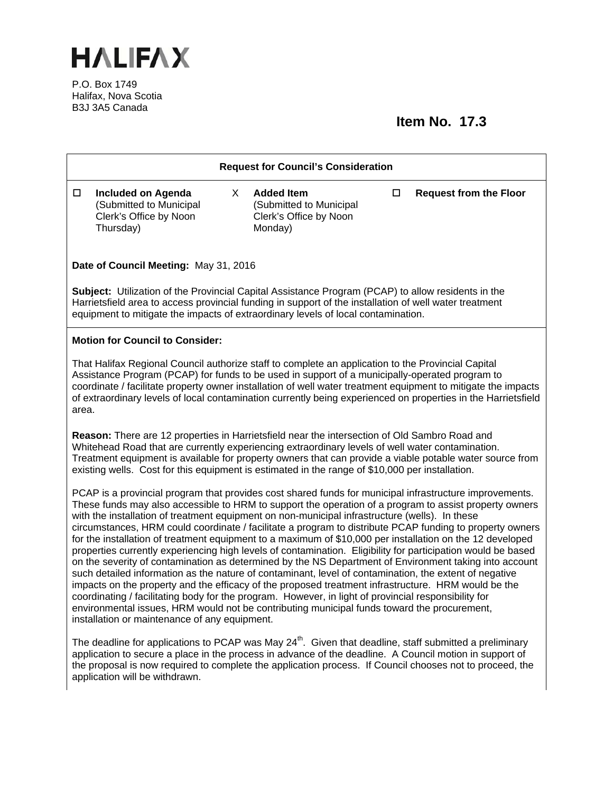

P.O. Box 1749 Halifax, Nova Scotia B3J 3A5 Canada

## **Item No. 17.3**

| <b>Request for Council's Consideration</b>                                                                                                                                                                                                                                                                                                                                                                                                                                                                                                                                                                                                                                                                                                                                                                                                                                                                                                                                                                                                                                                                                                                                                                                                      |                                                                                |    |                                                                                   |        |                               |  |
|-------------------------------------------------------------------------------------------------------------------------------------------------------------------------------------------------------------------------------------------------------------------------------------------------------------------------------------------------------------------------------------------------------------------------------------------------------------------------------------------------------------------------------------------------------------------------------------------------------------------------------------------------------------------------------------------------------------------------------------------------------------------------------------------------------------------------------------------------------------------------------------------------------------------------------------------------------------------------------------------------------------------------------------------------------------------------------------------------------------------------------------------------------------------------------------------------------------------------------------------------|--------------------------------------------------------------------------------|----|-----------------------------------------------------------------------------------|--------|-------------------------------|--|
| $\Box$<br>Thursday)                                                                                                                                                                                                                                                                                                                                                                                                                                                                                                                                                                                                                                                                                                                                                                                                                                                                                                                                                                                                                                                                                                                                                                                                                             | <b>Included on Agenda</b><br>(Submitted to Municipal<br>Clerk's Office by Noon | X. | <b>Added Item</b><br>(Submitted to Municipal<br>Clerk's Office by Noon<br>Monday) | $\Box$ | <b>Request from the Floor</b> |  |
| Date of Council Meeting: May 31, 2016                                                                                                                                                                                                                                                                                                                                                                                                                                                                                                                                                                                                                                                                                                                                                                                                                                                                                                                                                                                                                                                                                                                                                                                                           |                                                                                |    |                                                                                   |        |                               |  |
| Subject: Utilization of the Provincial Capital Assistance Program (PCAP) to allow residents in the<br>Harrietsfield area to access provincial funding in support of the installation of well water treatment<br>equipment to mitigate the impacts of extraordinary levels of local contamination.                                                                                                                                                                                                                                                                                                                                                                                                                                                                                                                                                                                                                                                                                                                                                                                                                                                                                                                                               |                                                                                |    |                                                                                   |        |                               |  |
| <b>Motion for Council to Consider:</b>                                                                                                                                                                                                                                                                                                                                                                                                                                                                                                                                                                                                                                                                                                                                                                                                                                                                                                                                                                                                                                                                                                                                                                                                          |                                                                                |    |                                                                                   |        |                               |  |
| That Halifax Regional Council authorize staff to complete an application to the Provincial Capital<br>Assistance Program (PCAP) for funds to be used in support of a municipally-operated program to<br>coordinate / facilitate property owner installation of well water treatment equipment to mitigate the impacts<br>of extraordinary levels of local contamination currently being experienced on properties in the Harrietsfield<br>area.                                                                                                                                                                                                                                                                                                                                                                                                                                                                                                                                                                                                                                                                                                                                                                                                 |                                                                                |    |                                                                                   |        |                               |  |
| Reason: There are 12 properties in Harrietsfield near the intersection of Old Sambro Road and<br>Whitehead Road that are currently experiencing extraordinary levels of well water contamination.<br>Treatment equipment is available for property owners that can provide a viable potable water source from<br>existing wells. Cost for this equipment is estimated in the range of \$10,000 per installation.                                                                                                                                                                                                                                                                                                                                                                                                                                                                                                                                                                                                                                                                                                                                                                                                                                |                                                                                |    |                                                                                   |        |                               |  |
| PCAP is a provincial program that provides cost shared funds for municipal infrastructure improvements.<br>These funds may also accessible to HRM to support the operation of a program to assist property owners<br>with the installation of treatment equipment on non-municipal infrastructure (wells). In these<br>circumstances, HRM could coordinate / facilitate a program to distribute PCAP funding to property owners<br>for the installation of treatment equipment to a maximum of \$10,000 per installation on the 12 developed<br>properties currently experiencing high levels of contamination. Eligibility for participation would be based<br>on the severity of contamination as determined by the NS Department of Environment taking into account<br>such detailed information as the nature of contaminant, level of contamination, the extent of negative<br>impacts on the property and the efficacy of the proposed treatment infrastructure. HRM would be the<br>coordinating / facilitating body for the program. However, in light of provincial responsibility for<br>environmental issues, HRM would not be contributing municipal funds toward the procurement,<br>installation or maintenance of any equipment. |                                                                                |    |                                                                                   |        |                               |  |
| The deadline for applications to PCAP was May $24th$ . Given that deadline, staff submitted a preliminary<br>application to secure a place in the process in advance of the deadline. A Council motion in support of<br>the proposal is now required to complete the application process. If Council chooses not to proceed, the<br>application will be withdrawn.                                                                                                                                                                                                                                                                                                                                                                                                                                                                                                                                                                                                                                                                                                                                                                                                                                                                              |                                                                                |    |                                                                                   |        |                               |  |